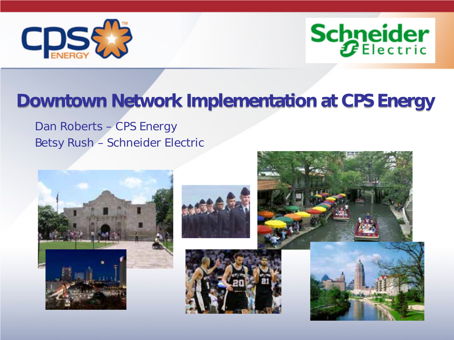



# Downtown Network Implementation at CPS Energy

Dan Roberts – CPS Energy Betsy Rush – Schneider Electric









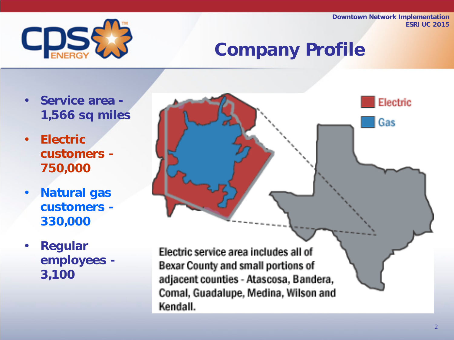

# Company Profile

- Service area 1,566 sq miles
- Electric customers - 750,000
- Natural gas customers - 330,000
- Regular employees - 3,100

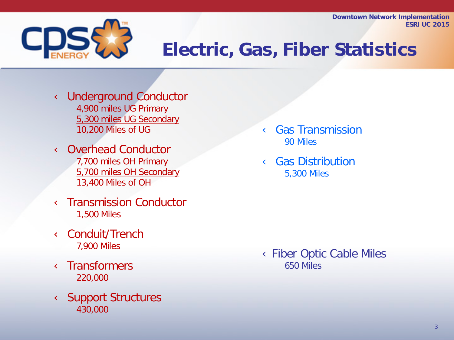

# Electric, Gas, Fiber Statistics

**Ü** Underground Conductor 4,900 miles UG Primary 5,300 miles UG Secondary 10,200 Miles of UG

**Ü** Overhead Conductor 7,700 miles OH Primary 5,700 miles OH Secondary 13,400 Miles of OH

**Ü** Transmission Conductor 1,500 Miles

**Ü** Conduit/Trench 7,900 Miles

**Ü** Transformers 220,000

**Ü** Support Structures 430,000

Ü Gas Transmission 90 Miles

*<u>U</u>* Gas Distribution 5,300 Miles

ÜFiber Optic Cable Miles 650 Miles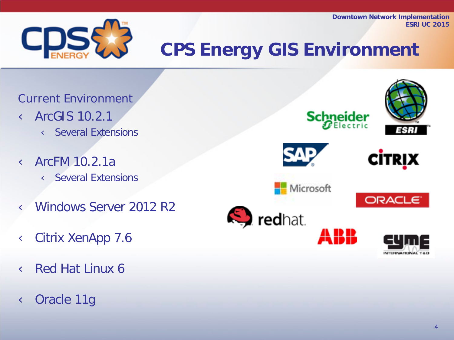

# CPS Energy GIS Environment

Current Environment **Ü** ArcGIS 10.2.1 **Ü** Several Extensions

**Ü** ArcFM 10.2.1a **Ü** Several Extensions

**Ü** Windows Server 2012 R2

Ü Citrix XenApp 7.6

**Ü** Red Hat Linux 6

# **Ü** Oracle 11g

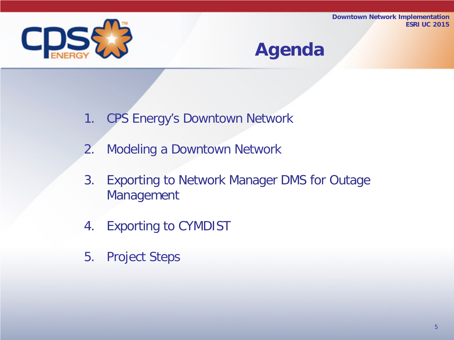

# Agenda

- 1. CPS Energy's Downtown Network
- 2. Modeling a Downtown Network
- 3. Exporting to Network Manager DMS for Outage Management
- 4. Exporting to CYMDIST
- 5. Project Steps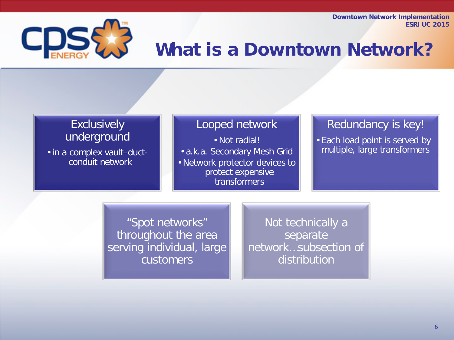

# What is a Downtown Network?

#### **Exclusively** underground

• in a complex vault–ductconduit network

#### Looped network

• Not radial!

• a.k.a. Secondary Mesh Grid

• Network protector devices to protect expensive transformers

#### Redundancy is key!

• Each load point is served by multiple, large transformers

"Spot networks" throughout the area serving individual, large customers

Not technically a separate network…subsection of distribution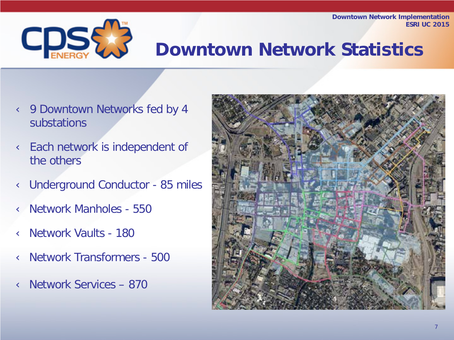

# Downtown Network Statistics

- *U* 9 Downtown Networks fed by 4 substations
- **Ü** Each network is independent of the others
- **Ü** Underground Conductor 85 miles
- Ü Network Manholes 550
- Ü Network Vaults 180
- Ü Network Transformers 500
- Ü Network Services 870

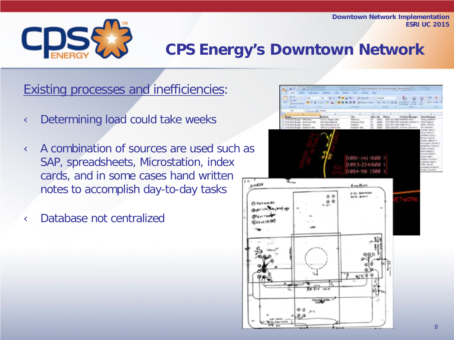

# CPS Energy's Downtown Network

Existing processes and inefficiencies:

**Ü** Determining load could take weeks

**U** A combination of sources are used such as SAP, spreadsheets, Microstation, index cards, and in some cases hand written notes to accomplish day-to-day tasks

Ü Database not centralized

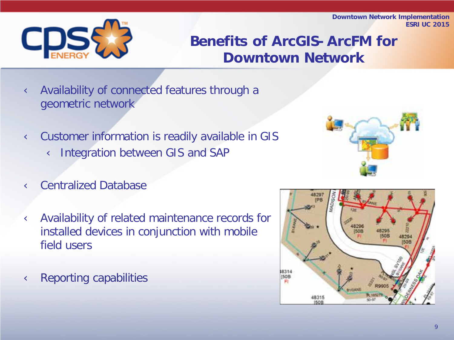

# Benefits of ArcGIS-ArcFM for Downtown Network

- **Ü** Availability of connected features through a geometric network
- Ü Customer information is readily available in GIS **Ü** Integration between GIS and SAP

- *<u>U* Centralized Database</u>
- Ü Availability of related maintenance records for installed devices in conjunction with mobile field users

**U** Reporting capabilities

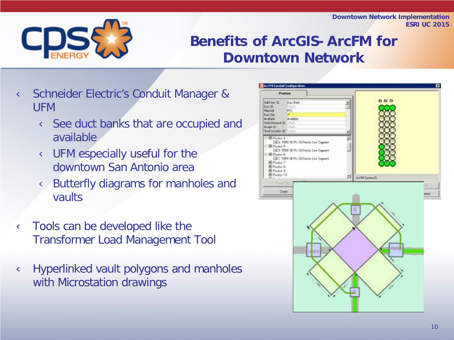

# Benefits of ArcGIS-ArcFM for Downtown Network

- Ü Schneider Electric's Conduit Manager & UFM
	- **U** See duct banks that are occupied and available
	- **Ü** UFM especially useful for the downtown San Antonio area
	- **Ü** Butterfly diagrams for manholes and vaults
- **U** Tools can be developed like the Transformer Load Management Tool
- **Ü** Hyperlinked vault polygons and manholes with Microstation drawings

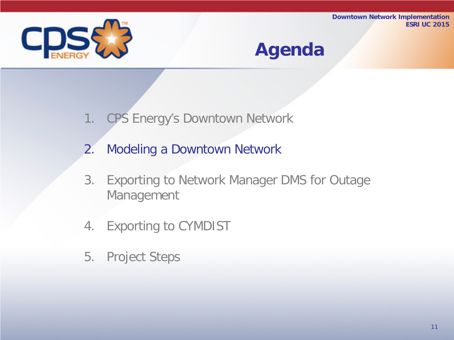

# Agenda

- 1. CPS Energy's Downtown Network
- 2. Modeling a Downtown Network
- 3. Exporting to Network Manager DMS for Outage Management
- 4. Exporting to CYMDIST
- 5. Project Steps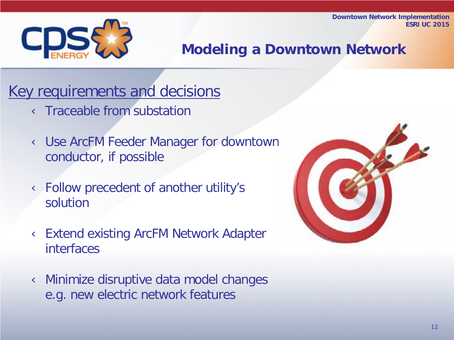

Modeling a Downtown Network

Key requirements and decisions **Ü** Traceable from substation

> Ü Use ArcFM Feeder Manager for downtown conductor, if possible

Ü Follow precedent of another utility's solution

Ü Extend existing ArcFM Network Adapter interfaces

Ü Minimize disruptive data model changes e.g. new electric network features

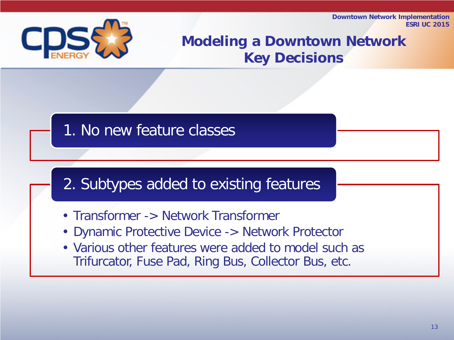

# Modeling a Downtown Network Key Decisions

# 1. No new feature classes

# 2. Subtypes added to existing features

- Transformer -> Network Transformer
- Dynamic Protective Device -> Network Protector
- Various other features were added to model such as Trifurcator, Fuse Pad, Ring Bus, Collector Bus, etc.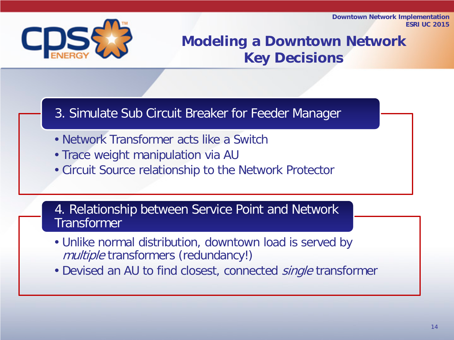

# Modeling a Downtown Network Key Decisions

#### 3. Simulate Sub Circuit Breaker for Feeder Manager

- Network Transformer acts like a Switch
- Trace weight manipulation via AU
- Circuit Source relationship to the Network Protector

4. Relationship between Service Point and Network **Transformer** 

- Unlike normal distribution, downtown load is served by multiple transformers (redundancy!)
- Devised an AU to find closest, connected *single* transformer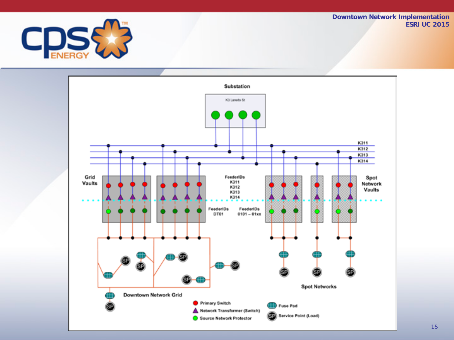

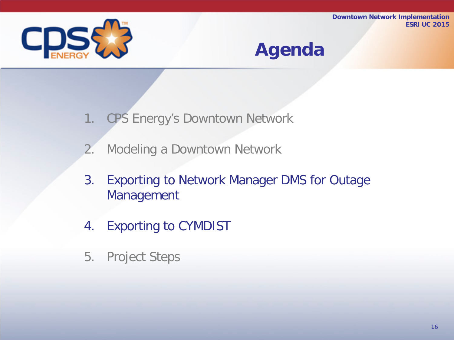

# Agenda

- 1. CPS Energy's Downtown Network
- 2. Modeling a Downtown Network
- 3. Exporting to Network Manager DMS for Outage Management
- 4. Exporting to CYMDIST
- 5. Project Steps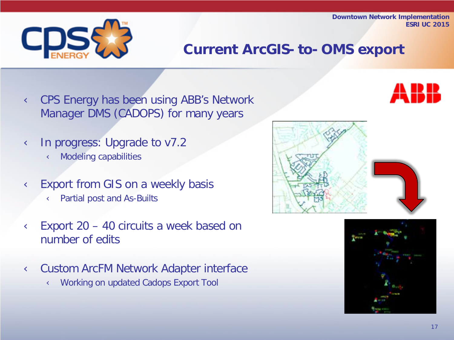# Current ArcGIS-to-OMS export

- **Ü** CPS Energy has been using ABB's Network Manager DMS (CADOPS) for many years
- **Ü** In progress: Upgrade to v7.2 **Ü** Modeling capabilities
- **U** Export from GIS on a weekly basis **Ü** Partial post and As-Builts
- $\ddot{\mathbf{U}}$  Export 20 40 circuits a week based on number of edits
- Ü Custom ArcFM Network Adapter interface **Ü** Working on updated Cadops Export Tool







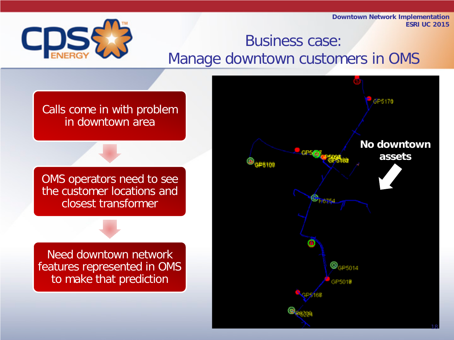

# Business case: Manage downtown customers in OMS

Calls come in with problem in downtown area

OMS operators need to see the customer locations and closest transformer

Need downtown network features represented in OMS to make that prediction

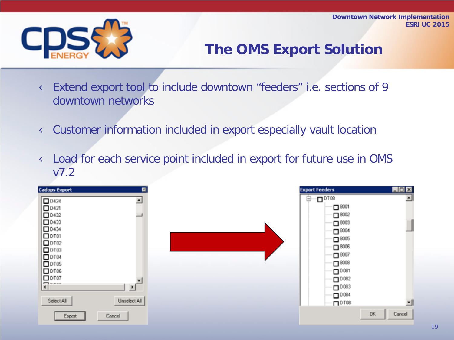

# The OMS Export Solution

Ü Extend export tool to include downtown "feeders" i.e. sections of 9 downtown networks

Ü Customer information included in export especially vault location

Ü Load for each service point included in export for future use in OMS v7.2

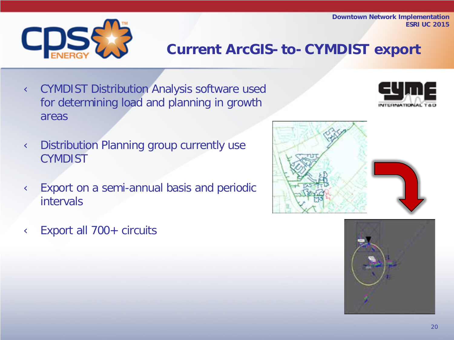

# Current ArcGIS-to-CYMDIST export

**Ü** CYMDIST Distribution Analysis software used for determining load and planning in growth areas



- **Ü** Distribution Planning group currently use **CYMDIST**
- **Ü** Export on a semi-annual basis and periodic intervals
- **Ü** Export all 700+ circuits



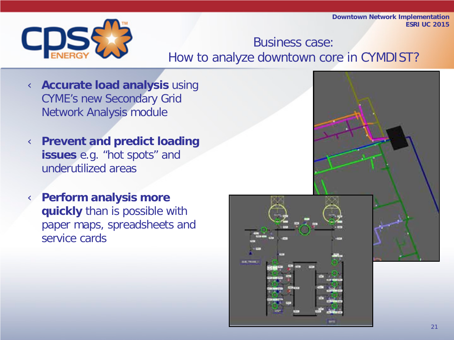

Business case: How to analyze downtown core in CYMDIST?

- Ü **Accurate load analysis** using CYME's new Secondary Grid Network Analysis module
- Ü **Prevent and predict loading issues** e.g. "hot spots" and underutilized areas
- Ü **Perform analysis more quickly** than is possible with paper maps, spreadsheets and service cards

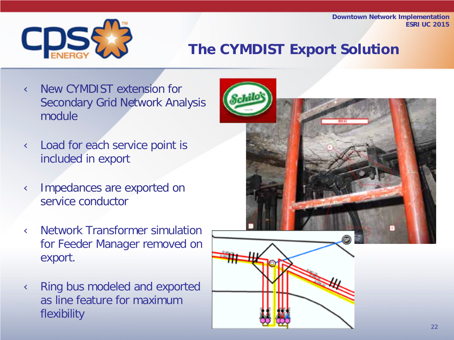

# The CYMDIST Export Solution

- **Ü** New CYMDIST extension for Secondary Grid Network Analysis module
- **U** Load for each service point is included in export
- **Ü** Impedances are exported on service conductor
- **Ü** Network Transformer simulation for Feeder Manager removed on export.
- **U** Ring bus modeled and exported as line feature for maximum flexibility

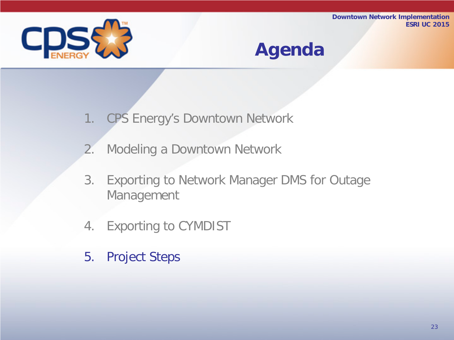

# Agenda

- 1. CPS Energy's Downtown Network
- 2. Modeling a Downtown Network
- 3. Exporting to Network Manager DMS for Outage Management
- 4. Exporting to CYMDIST
- 5. Project Steps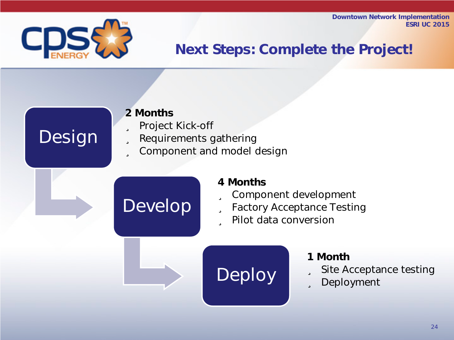

Design

# Next Steps: Complete the Project!

#### 2 Months

#### **ü** Project Kick-off

- **ü** Requirements gathering
- **ü** Component and model design

# Develop

#### 4 Months

- **ü** Component development
- **ü** Factory Acceptance Testing
- ü Pilot data conversion

# Deploy

#### 1 Month

- **ü** Site Acceptance testing
- **ü** Deployment